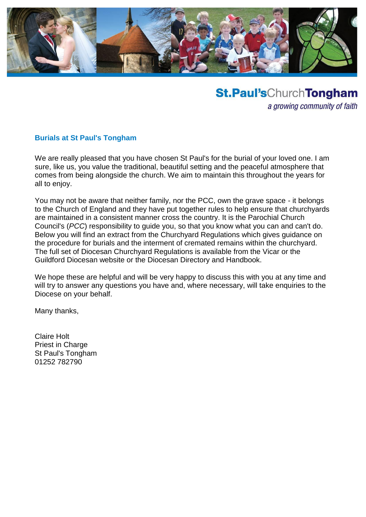

# **St.Paul'sChurchTongham**

a growing community of faith

#### **Burials at St Paul's Tongham**

We are really pleased that you have chosen St Paul's for the burial of your loved one. I am sure, like us, you value the traditional, beautiful setting and the peaceful atmosphere that comes from being alongside the church. We aim to maintain this throughout the years for all to enjoy.

You may not be aware that neither family, nor the PCC, own the grave space - it belongs to the Church of England and they have put together rules to help ensure that churchyards are maintained in a consistent manner cross the country. It is the Parochial Church Council's (*PCC*) responsibility to guide you, so that you know what you can and can't do. Below you will find an extract from the Churchyard Regulations which gives guidance on the procedure for burials and the interment of cremated remains within the churchyard. The full set of Diocesan Churchyard Regulations is available from the Vicar or the Guildford Diocesan website or the Diocesan Directory and Handbook.

We hope these are helpful and will be very happy to discuss this with you at any time and will try to answer any questions you have and, where necessary, will take enquiries to the Diocese on your behalf.

Many thanks,

Claire Holt Priest in Charge St Paul's Tongham 01252 782790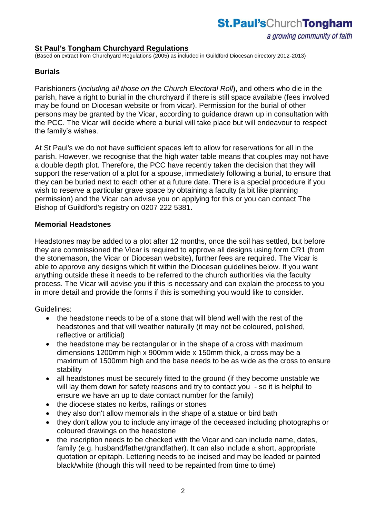a growing community of faith

## **St Paul's Tongham Churchyard Regulations**

(Based on extract from Churchyard Regulations (2005) as included in Guildford Diocesan directory 2012-2013)

## **Burials**

Parishioners (*including all those on the Church Electoral Roll*), and others who die in the parish, have a right to burial in the churchyard if there is still space available (fees involved may be found on Diocesan website or from vicar). Permission for the burial of other persons may be granted by the Vicar, according to guidance drawn up in consultation with the PCC. The Vicar will decide where a burial will take place but will endeavour to respect the family's wishes.

At St Paul's we do not have sufficient spaces left to allow for reservations for all in the parish. However, we recognise that the high water table means that couples may not have a double depth plot. Therefore, the PCC have recently taken the decision that they will support the reservation of a plot for a spouse, immediately following a burial, to ensure that they can be buried next to each other at a future date. There is a special procedure if you wish to reserve a particular grave space by obtaining a faculty (a bit like planning permission) and the Vicar can advise you on applying for this or you can contact The Bishop of Guildford's registry on 0207 222 5381.

#### **Memorial Headstones**

Headstones may be added to a plot after 12 months, once the soil has settled, but before they are commissioned the Vicar is required to approve all designs using form CR1 (from the stonemason, the Vicar or Diocesan website), further fees are required. The Vicar is able to approve any designs which fit within the Diocesan guidelines below. If you want anything outside these it needs to be referred to the church authorities via the faculty process. The Vicar will advise you if this is necessary and can explain the process to you in more detail and provide the forms if this is something you would like to consider.

Guidelines:

- the headstone needs to be of a stone that will blend well with the rest of the headstones and that will weather naturally (it may not be coloured, polished, reflective or artificial)
- the headstone may be rectangular or in the shape of a cross with maximum dimensions 1200mm high x 900mm wide x 150mm thick, a cross may be a maximum of 1500mm high and the base needs to be as wide as the cross to ensure stability
- all headstones must be securely fitted to the ground (if they become unstable we will lay them down for safety reasons and try to contact you - so it is helpful to ensure we have an up to date contact number for the family)
- the diocese states no kerbs, railings or stones
- they also don't allow memorials in the shape of a statue or bird bath
- they don't allow you to include any image of the deceased including photographs or coloured drawings on the headstone
- the inscription needs to be checked with the Vicar and can include name, dates, family (e.g. husband/father/grandfather). It can also include a short, appropriate quotation or epitaph. Lettering needs to be incised and may be leaded or painted black/white (though this will need to be repainted from time to time)